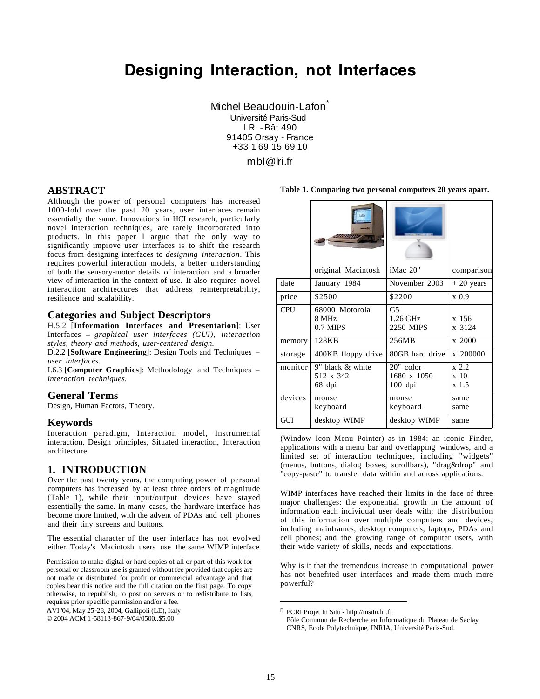# **Designing Interaction, not Interfaces**

Michel Beaudouin-Lafon\* Université Paris-Sud LRI -Bât 490 91405 Orsay - France +33 1 69 15 69 10

mbl@lri.fr

## **ABSTRACT**

Although the power of personal computers has increased 1000-fold over the past 20 years, user interfaces remain essentially the same. Innovations in HCI research, particularly novel interaction techniques, are rarely incorporated into products. In this paper I argue that the only way to significantly improve user interfaces is to shift the research focus from designing interfaces to *designing interaction*. This requires powerful interaction models, a better understanding of both the sensory-motor details of interaction and a broader view of interaction in the context of use. It also requires novel interaction architectures that address reinterpretability, resilience and scalability.

#### **Categories and Subject Descriptors**

H.5.2 [**Information Interfaces and Presentation**]: User Interfaces – *graphical user interfaces (GUI), interaction styles, theory and methods, user-centered design.*

D.2.2 [**Software Engineering**]: Design Tools and Techniques – *user interfaces.*

I.6.3 [**Computer Graphics**]: Methodology and Techniques – *interaction techniques.*

#### **General Terms**

Design, Human Factors, Theory.

#### **Keywords**

Interaction paradigm, Interaction model, Instrumental interaction, Design principles, Situated interaction, Interaction architecture.

#### **1. INTRODUCTION**

Over the past twenty years, the computing power of personal computers has increased by at least three orders of magnitude (Table 1), while their input/output devices have stayed essentially the same. In many cases, the hardware interface has become more limited, with the advent of PDAs and cell phones and their tiny screens and buttons.

The essential character of the user interface has not evolved either. Today's Macintosh users use the same WIMP interface

Permission to make digital or hard copies of all or part of this work for personal or classroom use is granted without fee provided that copies are not made or distributed for profit or commercial advantage and that copies bear this notice and the full citation on the first page. To copy otherwise, to republish, to post on servers or to redistribute to lists, requires prior specific permission and/or a fee.

AVI '04, May 25-28, 2004, Gallipoli (LE), Italy

|            | ,,,,,,,,,,                              |                                           |                                         |
|------------|-----------------------------------------|-------------------------------------------|-----------------------------------------|
|            | original Macintosh                      | iMac 20"                                  | comparison                              |
| date       | January 1984                            | November 2003                             | $+20$ years                             |
| price      | \$2500                                  | \$2200                                    | x 0.9                                   |
| <b>CPU</b> | 68000 Motorola<br>8 MHz<br>$0.7$ MIPS   | G <sub>5</sub><br>$1.26$ GHz<br>2250 MIPS | x 156<br>x 3124                         |
| memory     | 128KB                                   | 256MB                                     | $x$ 2000                                |
| storage    | 400KB floppy drive                      | 80GB hard drive                           | x 200000                                |
| monitor    | 9" black & white<br>512 x 342<br>68 dpi | 20" color<br>1680 x 1050<br>$100$ dpi     | $x\,2.2$<br>x <sub>10</sub><br>$x\,1.5$ |
| devices    | mouse<br>keyboard                       | mouse<br>keyboard                         | same<br>same                            |
| GU         | desktop WIMP                            | desktop WIMP                              | same                                    |

(Window Icon Menu Pointer) as in 1984: an iconic Finder, applications with a menu bar and overlapping windows, and a limited set of interaction techniques, including "widgets" (menus, buttons, dialog boxes, scrollbars), "drag&drop" and "copy-paste" to transfer data within and across applications.

WIMP interfaces have reached their limits in the face of three major challenges: the exponential growth in the amount of information each individual user deals with; the distribution of this information over multiple computers and devices, including mainframes, desktop computers, laptops, PDAs and cell phones; and the growing range of computer users, with their wide variety of skills, needs and expectations.

Why is it that the tremendous increase in computational power has not benefited user interfaces and made them much more powerful?

#### **Table 1. Comparing two personal computers 20 years apart.**\*

 $\overline{a}$ 

<sup>© 2004</sup> ACM 1-58113-867-9/04/0500..\$5.00

PCRI Projet In Situ - http://insitu.lri.fr

Pôle Commun de Recherche en Informatique du Plateau de Saclay CNRS, Ecole Polytechnique, INRIA, Université Paris-Sud.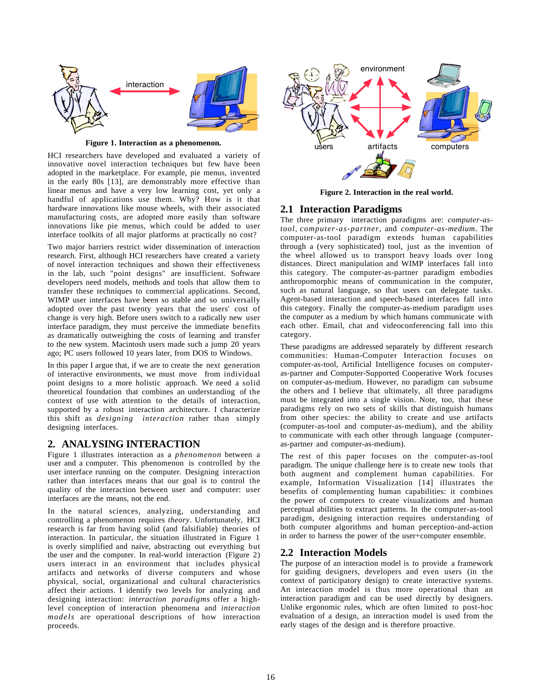

**Figure 1. Interaction as a phenomenon.**

HCI researchers have developed and evaluated a variety of innovative novel interaction techniques but few have been adopted in the marketplace. For example, pie menus, invented in the early 80s [13], are demonstrably more effective than linear menus and have a very low learning cost, yet only a handful of applications use them. Why? How is it that hardware innovations like mouse wheels, with their associated manufacturing costs, are adopted more easily than software innovations like pie menus, which could be added to user interface toolkits of all major platforms at practically no cost?

Two major barriers restrict wider dissemination of interaction research. First, although HCI researchers have created a variety of novel interaction techniques and shown their effectiveness in the lab, such "point designs" are insufficient. Software developers need models, methods and tools that allow them to transfer these techniques to commercial applications. Second, WIMP user interfaces have been so stable and so universally adopted over the past twenty years that the users' cost of change is very high. Before users switch to a radically new user interface paradigm, they must perceive the immediate benefits as dramatically outweighing the costs of learning and transfer to the new system. Macintosh users made such a jump 20 years ago; PC users followed 10 years later, from DOS to Windows.

In this paper I argue that, if we are to create the next generation of interactive environments, we must move from individual point designs to a more holistic approach. We need a solid theoretical foundation that combines an understanding of the context of use with attention to the details of interaction, supported by a robust interaction architecture. I characterize this shift as *designing interaction* rather than simply designing interfaces.

## **2. ANALYSING INTERACTION**

Figure 1 illustrates interaction as a *phenomenon* between a user and a computer. This phenomenon is controlled by the user interface running on the computer. Designing interaction rather than interfaces means that our goal is to control the quality of the interaction between user and computer: user interfaces are the means, not the end.

In the natural sciences, analyzing, understanding and controlling a phenomenon requires *theory*. Unfortunately, HCI research is far from having solid (and falsifiable) theories of interaction. In particular, the situation illustrated in Figure 1 is overly simplified and naive, abstracting out everything but the user and the computer. In real-world interaction (Figure 2) users interact in an environment that includes physical artifacts and networks of diverse computers and whose physical, social, organizational and cultural characteristics affect their actions. I identify two levels for analyzing and designing interaction: *interaction paradigms* offer a highlevel conception of interaction phenomena and *interaction models* are operational descriptions of how interaction proceeds.



**Figure 2. Interaction in the real world.**

# **2.1 Interaction Paradigms**

The three primary interaction paradigms are: *computer-astool*, *computer-as-partner*, and *computer-as-medium*. The computer-as-tool paradigm extends human capabilities through a (very sophisticated) tool, just as the invention of the wheel allowed us to transport heavy loads over long distances. Direct manipulation and WIMP interfaces fall into this category. The computer-as-partner paradigm embodies anthropomorphic means of communication in the computer, such as natural language, so that users can delegate tasks. Agent-based interaction and speech-based interfaces fall into this category. Finally the computer-as-medium paradigm uses the computer as a medium by which humans communicate with each other. Email, chat and videoconferencing fall into this category.

These paradigms are addressed separately by different research communities: Human-Computer Interaction focuses on computer-as-tool, Artificial Intelligence focuses on computeras-partner and Computer-Supported Cooperative Work focuses on computer-as-medium. However, no paradigm can subsume the others and I believe that ultimately, all three paradigms must be integrated into a single vision. Note, too, that these paradigms rely on two sets of skills that distinguish humans from other species: the ability to create and use artifacts (computer-as-tool and computer-as-medium), and the ability to communicate with each other through language (computeras-partner and computer-as-medium).

The rest of this paper focuses on the computer-as-tool paradigm. The unique challenge here is to create new tools that both augment and complement human capabilities. For example, Information Visualization [14] illustrates the benefits of complementing human capabilities: it combines the power of computers to create visualizations and human perceptual abilities to extract patterns. In the computer-as-tool paradigm, designing interaction requires understanding of both computer algorithms and human perception-and-action in order to harness the power of the user+computer ensemble.

### **2.2 Interaction Models**

The purpose of an interaction model is to provide a framework for guiding designers, developers and even users (in the context of participatory design) to create interactive systems. An interaction model is thus more operational than an interaction paradigm and can be used directly by designers. Unlike ergonomic rules, which are often limited to post-hoc evaluation of a design, an interaction model is used from the early stages of the design and is therefore proactive.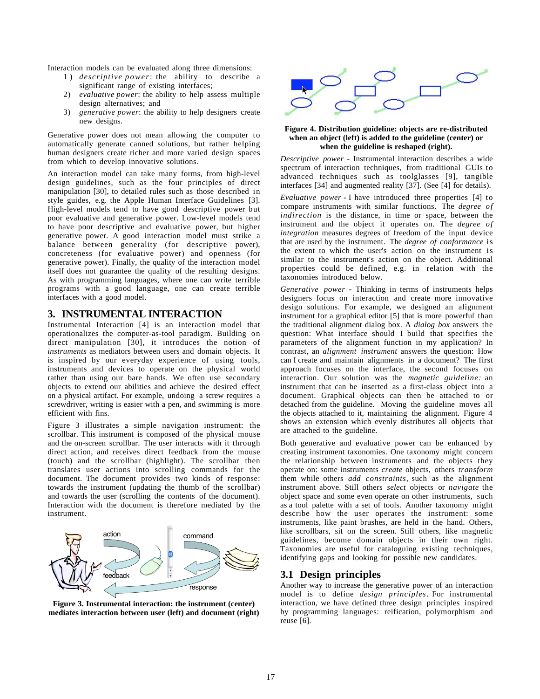Interaction models can be evaluated along three dimensions:

- 1 ) *descriptive power*: the ability to describe a significant range of existing interfaces;
- 2) *evaluative power*: the ability to help assess multiple design alternatives; and
- 3) *generative power*: the ability to help designers create new designs.

Generative power does not mean allowing the computer to automatically generate canned solutions, but rather helping human designers create richer and more varied design spaces from which to develop innovative solutions.

An interaction model can take many forms, from high-level design guidelines, such as the four principles of direct manipulation [30], to detailed rules such as those described in style guides, e.g. the Apple Human Interface Guidelines [3]. High-level models tend to have good descriptive power but poor evaluative and generative power. Low-level models tend to have poor descriptive and evaluative power, but higher generative power. A good interaction model must strike a balance between generality (for descriptive power), concreteness (for evaluative power) and openness (for generative power). Finally, the quality of the interaction model itself does not guarantee the quality of the resulting designs. As with programming languages, where one can write terrible programs with a good language, one can create terrible interfaces with a good model.

### **3. INSTRUMENTAL INTERACTION**

Instrumental Interaction [4] is an interaction model that operationalizes the computer-as-tool paradigm. Building on direct manipulation [30], it introduces the notion of *instruments* as mediators between users and domain objects. It is inspired by our everyday experience of using tools, instruments and devices to operate on the physical world rather than using our bare hands. We often use secondary objects to extend our abilities and achieve the desired effect on a physical artifact. For example, undoing a screw requires a screwdriver, writing is easier with a pen, and swimming is more efficient with fins.

Figure 3 illustrates a simple navigation instrument: the scrollbar. This instrument is composed of the physical mouse and the on-screen scrollbar. The user interacts with it through direct action, and receives direct feedback from the mouse (touch) and the scrollbar (highlight). The scrollbar then translates user actions into scrolling commands for the document. The document provides two kinds of response: towards the instrument (updating the thumb of the scrollbar) and towards the user (scrolling the contents of the document). Interaction with the document is therefore mediated by the instrument.



**Figure 3. Instrumental interaction: the instrument (center) mediates interaction between user (left) and document (right)**



#### **Figure 4. Distribution guideline: objects are re-distributed when an object (left) is added to the guideline (center) or when the guideline is reshaped (right).**

*Descriptive power* - Instrumental interaction describes a wide spectrum of interaction techniques, from traditional GUIs to advanced techniques such as toolglasses [9], tangible interfaces [34] and augmented reality [37]. (See [4] for details).

*Evaluative power* - I have introduced three properties [4] to compare instruments with similar functions. The *degree of indirection* is the distance, in time or space, between the instrument and the object it operates on. The *degree of integration* measures degrees of freedom of the input device that are used by the instrument. The *degree of conformance* is the extent to which the user's action on the instrument is similar to the instrument's action on the object. Additional properties could be defined, e.g. in relation with the taxonomies introduced below.

*Generative power* - Thinking in terms of instruments helps designers focus on interaction and create more innovative design solutions. For example, we designed an alignment instrument for a graphical editor [5] that is more powerful than the traditional alignment dialog box. A *dialog box* answers the question: What interface should I build that specifies the parameters of the alignment function in my application? In contrast, an *alignment instrument* answers the question: How can I create and maintain alignments in a document? The first approach focuses on the interface, the second focuses on interaction. Our solution was the *magnetic guideline:* an instrument that can be inserted as a first-class object into a document. Graphical objects can then be attached to or detached from the guideline. Moving the guideline moves all the objects attached to it, maintaining the alignment. Figure 4 shows an extension which evenly distributes all objects that are attached to the guideline.

Both generative and evaluative power can be enhanced by creating instrument taxonomies. One taxonomy might concern the relationship between instruments and the objects they operate on: some instruments *create* objects, others *transform* them while others *add constraints*, such as the alignment instrument above. Still others *select* objects or *navigate* the object space and some even operate on other instruments, such as a tool palette with a set of tools. Another taxonomy might describe how the user operates the instrument: some instruments, like paint brushes, are held in the hand. Others, like scrollbars, sit on the screen. Still others, like magnetic guidelines, become domain objects in their own right. Taxonomies are useful for cataloguing existing techniques, identifying gaps and looking for possible new candidates.

### **3.1 Design principles**

Another way to increase the generative power of an interaction model is to define *design principles*. For instrumental interaction, we have defined three design principles inspired by programming languages: reification, polymorphism and reuse [6].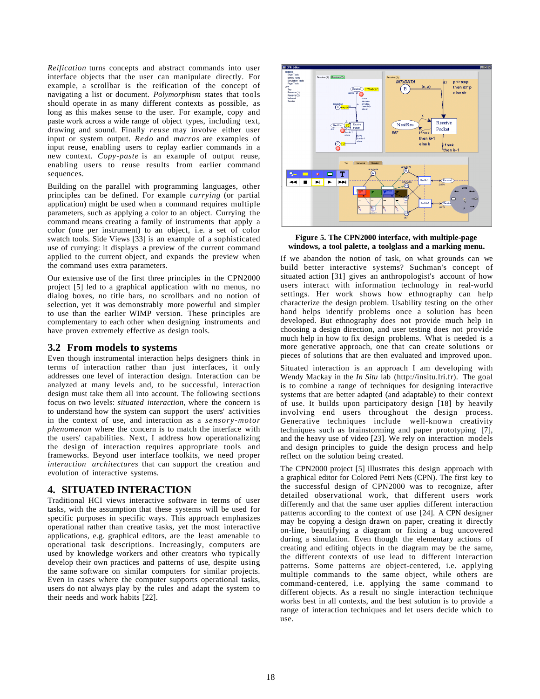*Reification* turns concepts and abstract commands into user interface objects that the user can manipulate directly. For example, a scrollbar is the reification of the concept of navigating a list or document. *Polymorphism* states that tools should operate in as many different contexts as possible, as long as this makes sense to the user. For example, copy and paste work across a wide range of object types, including text, drawing and sound. Finally *reuse* may involve either user input or system output. *Redo* and *macros* are examples of input reuse, enabling users to replay earlier commands in a new context. *Copy-paste* is an example of output reuse, enabling users to reuse results from earlier command sequences.

Building on the parallel with programming languages, other principles can be defined. For example *currying* (or partial application) might be used when a command requires multiple parameters, such as applying a color to an object. Currying the command means creating a family of instruments that apply a color (one per instrument) to an object, i.e. a set of color swatch tools. Side Views [33] is an example of a sophisticated use of currying: it displays a preview of the current command applied to the current object, and expands the preview when the command uses extra parameters.

Our extensive use of the first three principles in the CPN2000 project [5] led to a graphical application with no menus, no dialog boxes, no title bars, no scrollbars and no notion of selection, yet it was demonstrably more powerful and simpler to use than the earlier WIMP version. These principles are complementary to each other when designing instruments and have proven extremely effective as design tools.

#### **3.2 From models to systems**

Even though instrumental interaction helps designers think in terms of interaction rather than just interfaces, it only addresses one level of interaction design. Interaction can be analyzed at many levels and, to be successful, interaction design must take them all into account. The following sections focus on two levels: *situated interaction,* where the concern is to understand how the system can support the users' activities in the context of use, and interaction as a *sensory-motor phenomenon* where the concern is to match the interface with the users' capabilities. Next, I address how operationalizing the design of interaction requires appropriate tools and frameworks. Beyond user interface toolkits, we need proper *interaction architectures* that can support the creation and evolution of interactive systems.

## **4. SITUATED INTERACTION**

Traditional HCI views interactive software in terms of user tasks, with the assumption that these systems will be used for specific purposes in specific ways. This approach emphasizes operational rather than creative tasks, yet the most interactive applications, e.g. graphical editors, are the least amenable to operational task descriptions. Increasingly, computers are used by knowledge workers and other creators who typically develop their own practices and patterns of use, despite using the same software on similar computers for similar projects. Even in cases where the computer supports operational tasks, users do not always play by the rules and adapt the system to their needs and work habits [22].



#### **Figure 5. The CPN2000 interface, with multiple-page windows, a tool palette, a toolglass and a marking menu.**

If we abandon the notion of task, on what grounds can we build better interactive systems? Suchman's concept of situated action [31] gives an anthropologist's account of how users interact with information technology in real-world settings. Her work shows how ethnography can help characterize the design problem. Usability testing on the other hand helps identify problems once a solution has been developed. But ethnography does not provide much help in choosing a design direction, and user testing does not provide much help in how to fix design problems. What is needed is a more generative approach, one that can create solutions or pieces of solutions that are then evaluated and improved upon.

Situated interaction is an approach I am developing with Wendy Mackay in the *In Situ* lab (http://insitu.lri.fr). The goal is to combine a range of techniques for designing interactive systems that are better adapted (and adaptable) to their context of use. It builds upon participatory design [18] by heavily involving end users throughout the design process. Generative techniques include well-known creativity techniques such as brainstorming and paper prototyping [7], and the heavy use of video [23]. We rely on interaction models and design principles to guide the design process and help reflect on the solution being created.

The CPN2000 project [5] illustrates this design approach with a graphical editor for Colored Petri Nets (CPN). The first key to the successful design of CPN2000 was to recognize, after detailed observational work, that different users work differently and that the same user applies different interaction patterns according to the context of use [24]. A CPN designer may be copying a design drawn on paper, creating it directly on-line, beautifying a diagram or fixing a bug uncovered during a simulation. Even though the elementary actions of creating and editing objects in the diagram may be the same, the different contexts of use lead to different interaction patterns. Some patterns are object-centered, i.e. applying multiple commands to the same object, while others are command-centered, i.e. applying the same command to different objects. As a result no single interaction technique works best in all contexts, and the best solution is to provide a range of interaction techniques and let users decide which to use.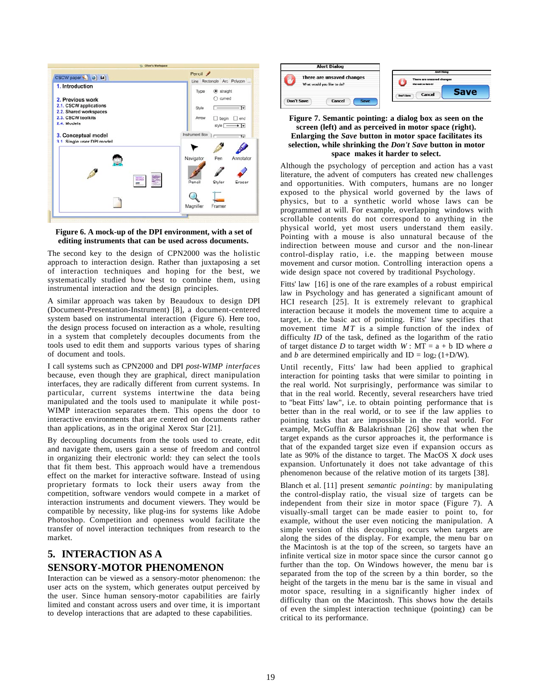

#### **Figure 6. A mock-up of the DPI environment, with a set of editing instruments that can be used across documents.**

The second key to the design of CPN2000 was the holistic approach to interaction design. Rather than juxtaposing a set of interaction techniques and hoping for the best, we systematically studied how best to combine them, using instrumental interaction and the design principles.

A similar approach was taken by Beaudoux to design DPI (Document-Presentation-Instrument) [8], a document-centered system based on instrumental interaction (Figure 6). Here too, the design process focused on interaction as a whole, resulting in a system that completely decouples documents from the tools used to edit them and supports various types of sharing of document and tools.

I call systems such as CPN2000 and DPI *post-WIMP interfaces* because, even though they are graphical, direct manipulation interfaces, they are radically different from current systems. In particular, current systems intertwine the data being manipulated and the tools used to manipulate it while post-WIMP interaction separates them. This opens the door to interactive environments that are centered on documents rather than applications, as in the original Xerox Star [21].

By decoupling documents from the tools used to create, edit and navigate them, users gain a sense of freedom and control in organizing their electronic world: they can select the tools that fit them best. This approach would have a tremendous effect on the market for interactive software. Instead of using proprietary formats to lock their users away from the competition, software vendors would compete in a market of interaction instruments and document viewers. They would be compatible by necessity, like plug-ins for systems like Adobe Photoshop. Competition and openness would facilitate the transfer of novel interaction techniques from research to the market.

# **5. INTERACTION AS A SENSORY-MOTOR PHENOMENON**

Interaction can be viewed as a sensory-motor phenomenon: the user acts on the system, which generates output perceived by the user. Since human sensory-motor capabilities are fairly limited and constant across users and over time, it is important to develop interactions that are adapted to these capabilities.



#### **Figure 7. Semantic pointing: a dialog box as seen on the screen (left) and as perceived in motor space (right). Enlarging the** *Save* **button in motor space facilitates its selection, while shrinking the** *Don't Save* **button in motor space makes it harder to select.**

Although the psychology of perception and action has a vast literature, the advent of computers has created new challenges and opportunities. With computers, humans are no longer exposed to the physical world governed by the laws of physics, but to a synthetic world whose laws can be programmed at will. For example, overlapping windows with scrollable contents do not correspond to anything in the physical world, yet most users understand them easily. Pointing with a mouse is also unnatural because of the indirection between mouse and cursor and the non-linear control-display ratio, i.e. the mapping between mouse movement and cursor motion. Controlling interaction opens a wide design space not covered by traditional Psychology.

Fitts' law [16] is one of the rare examples of a robust empirical law in Psychology and has generated a significant amount of HCI research [25]. It is extremely relevant to graphical interaction because it models the movement time to acquire a target, i.e. the basic act of pointing. Fitts' law specifies that movement time MT is a simple function of the index of difficulty *ID* of the task, defined as the logarithm of the ratio of target distance *D* to target width  $W : MT = a + b$  *ID* where *a* and *b* are determined empirically and  $ID = log_2(1+D/W)$ .

Until recently, Fitts' law had been applied to graphical interaction for pointing tasks that were similar to pointing in the real world. Not surprisingly, performance was similar to that in the real world. Recently, several researchers have tried to "beat Fitts' law", i.e. to obtain pointing performance that is better than in the real world, or to see if the law applies to pointing tasks that are impossible in the real world. For example, McGuffin & Balakrishnan [26] show that when the target expands as the cursor approaches it, the performance is that of the expanded target size even if expansion occurs as late as 90% of the distance to target. The MacOS X *dock* uses expansion. Unfortunately it does not take advantage of this phenomenon because of the relative motion of its targets [38].

Blanch et al. [11] present *semantic pointing*: by manipulating the control-display ratio, the visual size of targets can be independent from their size in motor space (Figure 7). A visually-small target can be made easier to point to, for example, without the user even noticing the manipulation. A simple version of this decoupling occurs when targets are along the sides of the display. For example, the menu bar on the Macintosh is at the top of the screen, so targets have an infinite vertical size in motor space since the cursor cannot go further than the top. On Windows however, the menu bar is separated from the top of the screen by a thin border, so the height of the targets in the menu bar is the same in visual and motor space, resulting in a significantly higher index of difficulty than on the Macintosh. This shows how the details of even the simplest interaction technique (pointing) can be critical to its performance.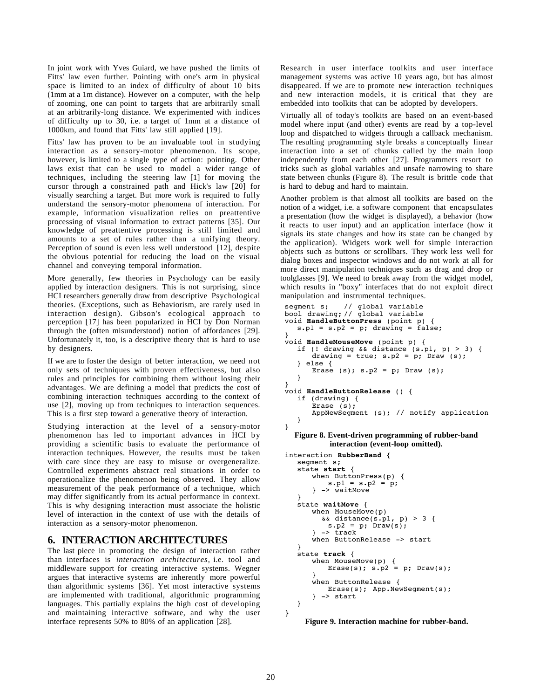In joint work with Yves Guiard, we have pushed the limits of Fitts' law even further. Pointing with one's arm in physical space is limited to an index of difficulty of about 10 bits (1mm at a 1m distance). However on a computer, with the help of zooming, one can point to targets that are arbitrarily small at an arbitrarily-long distance. We experimented with indices of difficulty up to 30, i.e. a target of 1mm at a distance of 1000km, and found that Fitts' law still applied [19].

Fitts' law has proven to be an invaluable tool in studying interaction as a sensory-motor phenomenon. Its scope, however, is limited to a single type of action: pointing. Other laws exist that can be used to model a wider range of techniques, including the steering law [1] for moving the cursor through a constrained path and Hick's law [20] for visually searching a target. But more work is required to fully understand the sensory-motor phenomena of interaction. For example, information visualization relies on preattentive processing of visual information to extract patterns [35]. Our knowledge of preattentive processing is still limited and amounts to a set of rules rather than a unifying theory. Perception of sound is even less well understood [12], despite the obvious potential for reducing the load on the visual channel and conveying temporal information.

More generally, few theories in Psychology can be easily applied by interaction designers. This is not surprising, since HCI researchers generally draw from descriptive Psychological theories. (Exceptions, such as Behaviorism, are rarely used in interaction design). Gibson's ecological approach to perception [17] has been popularized in HCI by Don Norman through the (often misunderstood) notion of affordances [29]. Unfortunately it, too, is a descriptive theory that is hard to use by designers.

If we are to foster the design of better interaction, we need not only sets of techniques with proven effectiveness, but also rules and principles for combining them without losing their advantages. We are defining a model that predicts the cost of combining interaction techniques according to the context of use [2], moving up from techniques to interaction sequences. This is a first step toward a generative theory of interaction.

Studying interaction at the level of a sensory-motor phenomenon has led to important advances in HCI by providing a scientific basis to evaluate the performance of interaction techniques. However, the results must be taken with care since they are easy to misuse or overgeneralize. Controlled experiments abstract real situations in order to operationalize the phenomenon being observed. They allow measurement of the peak performance of a technique, which may differ significantly from its actual performance in context. This is why designing interaction must associate the holistic level of interaction in the context of use with the details of interaction as a sensory-motor phenomenon.

## **6. INTERACTION ARCHITECTURES**

The last piece in promoting the design of interaction rather than interfaces is *interaction architectures*, i.e. tool and middleware support for creating interactive systems. Wegner argues that interactive systems are inherently more powerful than algorithmic systems [36]. Yet most interactive systems are implemented with traditional, algorithmic programming languages. This partially explains the high cost of developing and maintaining interactive software, and why the user interface represents 50% to 80% of an application [28].

Research in user interface toolkits and user interface management systems was active 10 years ago, but has almost disappeared. If we are to promote new interaction techniques and new interaction models, it is critical that they are embedded into toolkits that can be adopted by developers.

Virtually all of today's toolkits are based on an event-based model where input (and other) events are read by a top-level loop and dispatched to widgets through a callback mechanism. The resulting programming style breaks a conceptually linear interaction into a set of chunks called by the main loop independently from each other [27]. Programmers resort to tricks such as global variables and unsafe narrowing to share state between chunks (Figure 8). The result is brittle code that is hard to debug and hard to maintain.

Another problem is that almost all toolkits are based on the notion of a widget, i.e. a software component that encapsulates a presentation (how the widget is displayed), a behavior (how it reacts to user input) and an application interface (how it signals its state changes and how its state can be changed by the application). Widgets work well for simple interaction objects such as buttons or scrollbars. They work less well for dialog boxes and inspector windows and do not work at all for more direct manipulation techniques such as drag and drop or toolglasses [9]. We need to break away from the widget model, which results in "boxy" interfaces that do not exploit direct manipulation and instrumental techniques.

```
segment s; // global variable
bool drawing; // global variable
void HandleButtonPress (point p) {
  s.p1 = s.p2 = p; drawing = false;
}
void HandleMouseMove (point p) {
   if (! drawing && distance (s.p1, p) > 3) {
      drawing = true; s.p2 = p; Draw(s);} else {
      Erase (s); s.p2 = p; Draw (s);
  }
}
void HandleButtonRelease () {
  if (drawing) {
      Erase (s);
      AppNewSegment (s); // notify application
  }
}
  Figure 8. Event-driven programming of rubber-band
```
**interaction (event-loop omitted).**

```
interaction RubberBand {
   segment s;
   state start \ellwhen ButtonPress(p) {
         s. p1 = s.p2 = p;
      } -> waitMove
   }
   state waitMove {
      when MouseMove(p)
         &\& distance(s.pl, p) > 3 {
          s.p2 = p; Draw(s);\} -> track
      when ButtonRelease -> start
   }
   state track {
      when MouseMove(p) {
          n mousemove(p) {<br>Erase(s); s.p2 = p; Draw(s);
       }
       when ButtonRelease {
           Erase(s); App.NewSegment(s);
       \} -> start
   }
}
```
**Figure 9. Interaction machine for rubber-band.**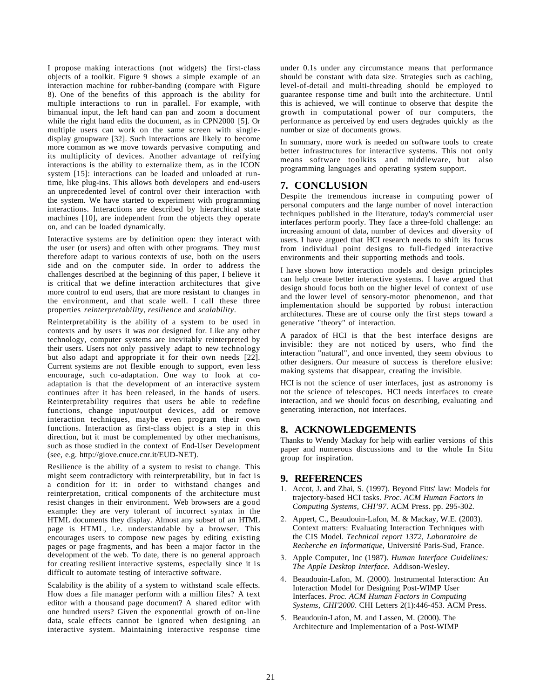I propose making interactions (not widgets) the first-class objects of a toolkit. Figure 9 shows a simple example of an interaction machine for rubber-banding (compare with Figure 8). One of the benefits of this approach is the ability for multiple interactions to run in parallel. For example, with bimanual input, the left hand can pan and zoom a document while the right hand edits the document, as in CPN2000 [5]. Or multiple users can work on the same screen with singledisplay groupware [32]. Such interactions are likely to become more common as we move towards pervasive computing and its multiplicity of devices. Another advantage of reifying interactions is the ability to externalize them, as in the ICON system [15]: interactions can be loaded and unloaded at runtime, like plug-ins. This allows both developers and end-users an unprecedented level of control over their interaction with the system. We have started to experiment with programming interactions. Interactions are described by hierarchical state machines [10], are independent from the objects they operate on, and can be loaded dynamically.

Interactive systems are by definition open: they interact with the user (or users) and often with other programs. They must therefore adapt to various contexts of use, both on the users side and on the computer side. In order to address the challenges described at the beginning of this paper, I believe it is critical that we define interaction architectures that give more control to end users, that are more resistant to changes in the environment, and that scale well. I call these three properties *reinterpretability*, *resilience* and *scalability*.

Reinterpretability is the ability of a system to be used in contexts and by users it was *not* designed for. Like any other technology, computer systems are inevitably reinterpreted by their users. Users not only passively adapt to new technology but also adapt and appropriate it for their own needs [22]. Current systems are not flexible enough to support, even less encourage, such co-adaptation. One way to look at coadaptation is that the development of an interactive system continues after it has been released, in the hands of users. Reinterpretability requires that users be able to redefine functions, change input/output devices, add or remove interaction techniques, maybe even program their own functions. Interaction as first-class object is a step in this direction, but it must be complemented by other mechanisms, such as those studied in the context of End-User Development (see, e.g. http://giove.cnuce.cnr.it/EUD-NET).

Resilience is the ability of a system to resist to change. This might seem contradictory with reinterpretability, but in fact is a condition for it: in order to withstand changes and reinterpretation, critical components of the architecture must resist changes in their environment. Web browsers are a good example: they are very tolerant of incorrect syntax in the HTML documents they display. Almost any subset of an HTML page is HTML, i.e. understandable by a browser. This encourages users to compose new pages by editing existing pages or page fragments, and has been a major factor in the development of the web. To date, there is no general approach for creating resilient interactive systems, especially since it is difficult to automate testing of interactive software.

Scalability is the ability of a system to withstand scale effects. How does a file manager perform with a million files? A text editor with a thousand page document? A shared editor with one hundred users? Given the exponential growth of on-line data, scale effects cannot be ignored when designing an interactive system. Maintaining interactive response time

under 0.1s under any circumstance means that performance should be constant with data size. Strategies such as caching, level-of-detail and multi-threading should be employed to guarantee response time and built into the architecture. Until this is achieved, we will continue to observe that despite the growth in computational power of our computers, the performance as perceived by end users degrades quickly as the number or size of documents grows.

In summary, more work is needed on software tools to create better infrastructures for interactive systems. This not only means software toolkits and middleware, but also programming languages and operating system support.

## **7. CONCLUSION**

Despite the tremendous increase in computing power of personal computers and the large number of novel interaction techniques published in the literature, today's commercial user interfaces perform poorly. They face a three-fold challenge: an increasing amount of data, number of devices and diversity of users. I have argued that HCI research needs to shift its focus from individual point designs to full-fledged interactive environments and their supporting methods and tools.

I have shown how interaction models and design principles can help create better interactive systems. I have argued that design should focus both on the higher level of context of use and the lower level of sensory-motor phenomenon, and that implementation should be supported by robust interaction architectures. These are of course only the first steps toward a generative "theory" of interaction.

A paradox of HCI is that the best interface designs are invisible: they are not noticed by users, who find the interaction "natural", and once invented, they seem obvious to other designers. Our measure of success is therefore elusive: making systems that disappear, creating the invisible.

HCI is not the science of user interfaces, just as astronomy is not the science of telescopes. HCI needs interfaces to create interaction, and we should focus on describing, evaluating and generating interaction, not interfaces.

# **8. ACKNOWLEDGEMENTS**

Thanks to Wendy Mackay for help with earlier versions of this paper and numerous discussions and to the whole In Situ group for inspiration.

## **9. REFERENCES**

- 1. Accot, J. and Zhai, S. (1997). Beyond Fitts' law: Models for trajectory-based HCI tasks. *Proc. ACM Human Factors in Computing Systems, CHI'97*. ACM Press. pp. 295-302.
- 2. Appert, C., Beaudouin-Lafon, M. & Mackay, W.E. (2003). Context matters: Evaluating Interaction Techniques with the CIS Model. *Technical report 1372, Laboratoire de Recherche en Informatique*, Université Paris-Sud, France.
- 3. Apple Computer, Inc (1987). *Human Interface Guidelines: The Apple Desktop Interface*. Addison-Wesley.
- 4. Beaudouin-Lafon, M. (2000). Instrumental Interaction: An Interaction Model for Designing Post-WIMP User Interfaces. *Proc. ACM Human Factors in Computing Systems, CHI'2000*. CHI Letters 2(1):446-453. ACM Press.
- 5. Beaudouin-Lafon, M. and Lassen, M. (2000). The Architecture and Implementation of a Post-WIMP